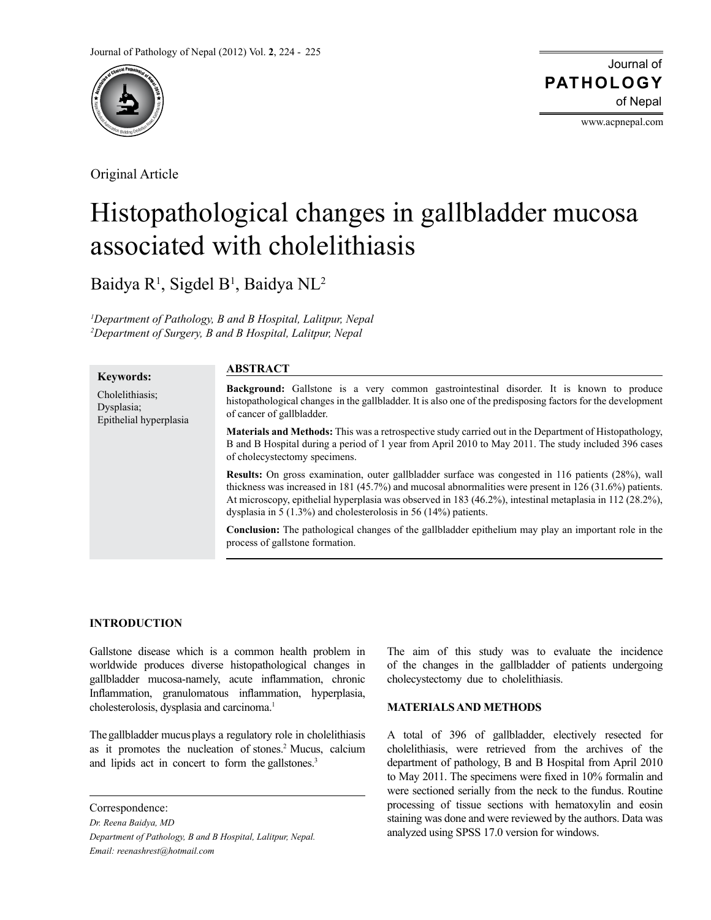

Original Article

**Keywords:** Cholelithiasis; Dysplasia;

Epithelial hyperplasia

Journal of of Nepal **PATHOLOGY**

www.acpnepal.com

# Histopathological changes in gallbladder mucosa associated with cholelithiasis

Baidya R<sup>1</sup>, Sigdel B<sup>1</sup>, Baidya NL<sup>2</sup>

*1 Department of Pathology, B and B Hospital, Lalitpur, Nepal 2 Department of Surgery, B and B Hospital, Lalitpur, Nepal*

# **ABSTRACT**

**Background:** Gallstone is a very common gastrointestinal disorder. It is known to produce histopathological changes in the gallbladder. It is also one of the predisposing factors for the development of cancer of gallbladder.

**Materials and Methods:** This was a retrospective study carried out in the Department of Histopathology, B and B Hospital during a period of 1 year from April 2010 to May 2011. The study included 396 cases of cholecystectomy specimens.

**Results:** On gross examination, outer gallbladder surface was congested in 116 patients (28%), wall thickness was increased in 181 (45.7%) and mucosal abnormalities were present in 126 (31.6%) patients. At microscopy, epithelial hyperplasia was observed in 183 (46.2%), intestinal metaplasia in 112 (28.2%), dysplasia in 5 (1.3%) and cholesterolosis in 56 (14%) patients.

**Conclusion:** The pathological changes of the gallbladder epithelium may play an important role in the process of gallstone formation.

# **INTRODUCTION**

Gallstone disease which is a common health problem in worldwide produces diverse histopathological changes in gallbladder mucosa-namely, acute inflammation, chronic Inflammation, granulomatous inflammation, hyperplasia, cholesterolosis, dysplasia and carcinoma.<sup>1</sup>

The gallbladder mucus plays a regulatory role in cholelithiasis as it promotes the nucleation of stones.<sup>2</sup> Mucus, calcium and lipids act in concert to form the gallstones.<sup>3</sup>

Correspondence:

*Dr. Reena Baidya, MD Department of Pathology, B and B Hospital, Lalitpur, Nepal. Email: reenashrest@hotmail.com*

The aim of this study was to evaluate the incidence of the changes in the gallbladder of patients undergoing cholecystectomy due to cholelithiasis.

## **MATERIALS AND METHODS**

A total of 396 of gallbladder, electively resected for cholelithiasis, were retrieved from the archives of the department of pathology, B and B Hospital from April 2010 to May 2011. The specimens were fixed in 10% formalin and were sectioned serially from the neck to the fundus. Routine processing of tissue sections with hematoxylin and eosin staining was done and were reviewed by the authors. Data was analyzed using SPSS 17.0 version for windows.